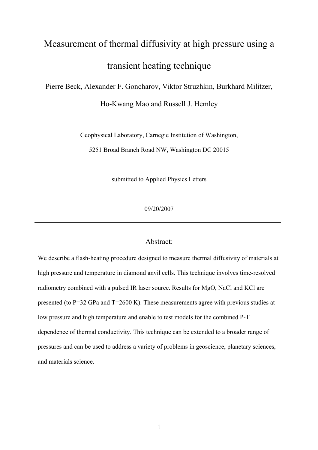# Measurement of thermal diffusivity at high pressure using a transient heating technique

Pierre Beck, Alexander F. Goncharov, Viktor Struzhkin, Burkhard Militzer,

Ho-Kwang Mao and Russell J. Hemley

Geophysical Laboratory, Carnegie Institution of Washington,

5251 Broad Branch Road NW, Washington DC 20015

submitted to Applied Physics Letters

09/20/2007

## Abstract:

We describe a flash-heating procedure designed to measure thermal diffusivity of materials at high pressure and temperature in diamond anvil cells. This technique involves time-resolved radiometry combined with a pulsed IR laser source. Results for MgO, NaCl and KCl are presented (to P=32 GPa and T=2600 K). These measurements agree with previous studies at low pressure and high temperature and enable to test models for the combined P-T dependence of thermal conductivity. This technique can be extended to a broader range of pressures and can be used to address a variety of problems in geoscience, planetary sciences, and materials science.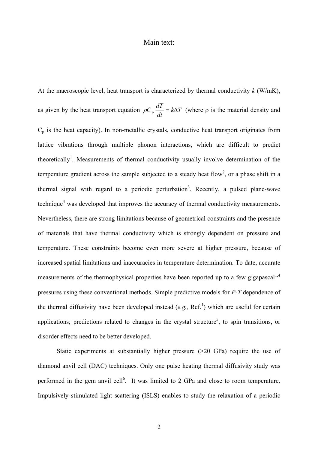#### Main text:

At the macroscopic level, heat transport is characterized by thermal conductivity *k* (W/mK), as given by the heat transport equation  $\rho C_n \frac{dI}{dt} = k\Delta T$ *dt*  $\rho C_p \frac{dT}{dt} = k\Delta T$  (where  $\rho$  is the material density and  $C_p$  is the heat capacity). In non-metallic crystals, conductive heat transport originates from lattice vibrations through multiple phonon interactions, which are difficult to predict theoretically<sup>1</sup>. Measurements of thermal conductivity usually involve determination of the temperature gradient across the sample subjected to a steady heat flow<sup>2</sup>, or a phase shift in a thermal signal with regard to a periodic perturbation<sup>3</sup>. Recently, a pulsed plane-wave technique<sup>4</sup> was developed that improves the accuracy of thermal conductivity measurements. Nevertheless, there are strong limitations because of geometrical constraints and the presence of materials that have thermal conductivity which is strongly dependent on pressure and temperature. These constraints become even more severe at higher pressure, because of increased spatial limitations and inaccuracies in temperature determination. To date, accurate measurements of the thermophysical properties have been reported up to a few gigapascal<sup>1,4</sup> pressures using these conventional methods. Simple predictive models for *P-T* dependence of the thermal diffusivity have been developed instead  $(e.g., Ref.<sup>1</sup>)$  which are useful for certain applications; predictions related to changes in the crystal structure<sup>5</sup>, to spin transitions, or disorder effects need to be better developed.

Static experiments at substantially higher pressure (>20 GPa) require the use of diamond anvil cell (DAC) techniques. Only one pulse heating thermal diffusivity study was performed in the gem anvil cell<sup>6</sup>. It was limited to 2 GPa and close to room temperature. Impulsively stimulated light scattering (ISLS) enables to study the relaxation of a periodic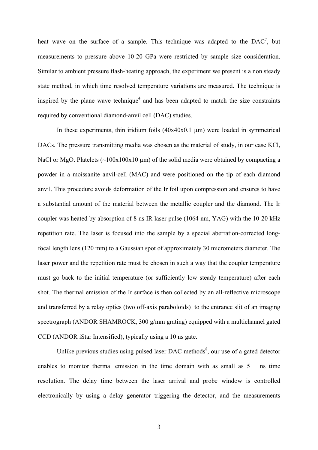heat wave on the surface of a sample. This technique was adapted to the  $DAC<sup>7</sup>$ , but measurements to pressure above 10-20 GPa were restricted by sample size consideration. Similar to ambient pressure flash-heating approach, the experiment we present is a non steady state method, in which time resolved temperature variations are measured. The technique is inspired by the plane wave technique<sup>4</sup> and has been adapted to match the size constraints required by conventional diamond-anvil cell (DAC) studies.

In these experiments, thin iridium foils  $(40x40x0.1 \mu m)$  were loaded in symmetrical DACs. The pressure transmitting media was chosen as the material of study, in our case KCl, NaCl or MgO. Platelets  $(\sim 100x100x10 \,\mu m)$  of the solid media were obtained by compacting a powder in a moissanite anvil-cell (MAC) and were positioned on the tip of each diamond anvil. This procedure avoids deformation of the Ir foil upon compression and ensures to have a substantial amount of the material between the metallic coupler and the diamond. The Ir coupler was heated by absorption of 8 ns IR laser pulse (1064 nm, YAG) with the 10-20 kHz repetition rate. The laser is focused into the sample by a special aberration-corrected longfocal length lens (120 mm) to a Gaussian spot of approximately 30 micrometers diameter. The laser power and the repetition rate must be chosen in such a way that the coupler temperature must go back to the initial temperature (or sufficiently low steady temperature) after each shot. The thermal emission of the Ir surface is then collected by an all-reflective microscope and transferred by a relay optics (two off-axis paraboloids) to the entrance slit of an imaging spectrograph (ANDOR SHAMROCK, 300 g/mm grating) equipped with a multichannel gated CCD (ANDOR iStar Intensified), typically using a 10 ns gate.

Unlike previous studies using pulsed laser DAC methods $\delta$ , our use of a gated detector enables to monitor thermal emission in the time domain with as small as 5 ns time resolution. The delay time between the laser arrival and probe window is controlled electronically by using a delay generator triggering the detector, and the measurements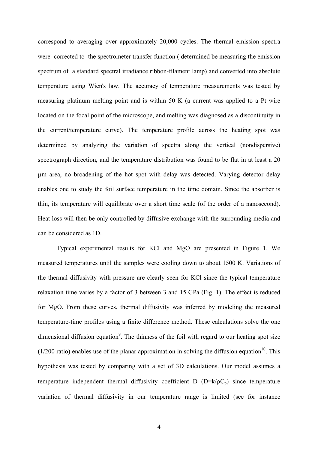correspond to averaging over approximately 20,000 cycles. The thermal emission spectra were corrected to the spectrometer transfer function ( determined be measuring the emission spectrum of a standard spectral irradiance ribbon-filament lamp) and converted into absolute temperature using Wien's law. The accuracy of temperature measurements was tested by measuring platinum melting point and is within 50 K (a current was applied to a Pt wire located on the focal point of the microscope, and melting was diagnosed as a discontinuity in the current/temperature curve). The temperature profile across the heating spot was determined by analyzing the variation of spectra along the vertical (nondispersive) spectrograph direction, and the temperature distribution was found to be flat in at least a 20 µm area, no broadening of the hot spot with delay was detected. Varying detector delay enables one to study the foil surface temperature in the time domain. Since the absorber is thin, its temperature will equilibrate over a short time scale (of the order of a nanosecond). Heat loss will then be only controlled by diffusive exchange with the surrounding media and can be considered as 1D.

Typical experimental results for KCl and MgO are presented in Figure 1. We measured temperatures until the samples were cooling down to about 1500 K. Variations of the thermal diffusivity with pressure are clearly seen for KCl since the typical temperature relaxation time varies by a factor of 3 between 3 and 15 GPa (Fig. 1). The effect is reduced for MgO. From these curves, thermal diffusivity was inferred by modeling the measured temperature-time profiles using a finite difference method. These calculations solve the one dimensional diffusion equation<sup>9</sup>. The thinness of the foil with regard to our heating spot size (1/200 ratio) enables use of the planar approximation in solving the diffusion equation<sup>10</sup>. This hypothesis was tested by comparing with a set of 3D calculations. Our model assumes a temperature independent thermal diffusivity coefficient D  $(D=k/\rho C_p)$  since temperature variation of thermal diffusivity in our temperature range is limited (see for instance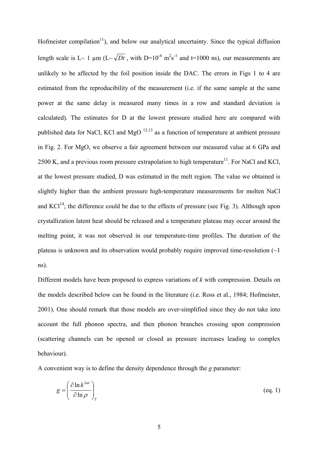Hofmeister compilation<sup>11</sup>), and below our analytical uncertainty. Since the typical diffusion length scale is L ~ 1  $\mu$ m (L ~  $\sqrt{Dt}$ , with D=10<sup>-6</sup> m<sup>2</sup>s<sup>-1</sup> and t=1000 ns), our measurements are unlikely to be affected by the foil position inside the DAC. The errors in Figs 1 to 4 are estimated from the reproducibility of the measurement (i.e. if the same sample at the same power at the same delay is measured many times in a row and standard deviation is calculated). The estimates for D at the lowest pressure studied here are compared with published data for NaCl, KCl and MgO  $12,13$  as a function of temperature at ambient pressure in Fig. 2. For MgO, we observe a fair agreement between our measured value at 6 GPa and 2500 K, and a previous room pressure extrapolation to high temperature<sup>11</sup>. For NaCl and KCl, at the lowest pressure studied, D was estimated in the melt region. The value we obtained is slightly higher than the ambient pressure high-temperature measurements for molten NaCl and  $KCl<sup>14</sup>$ ; the difference could be due to the effects of pressure (see Fig. 3). Although upon crystallization latent heat should be released and a temperature plateau may occur around the melting point, it was not observed in our temperature-time profiles. The duration of the plateau is unknown and its observation would probably require improved time-resolution (~1 ns).

Different models have been proposed to express variations of *k* with compression. Details on the models described below can be found in the literature (i.e. Ross et al., 1984; Hofmeister, 2001). One should remark that those models are over-simplified since they do not take into account the full phonon spectra, and then phonon branches crossing upon compression (scattering channels can be opened or closed as pressure increases leading to complex behaviour).

A convenient way is to define the density dependence through the *g* parameter:

$$
g = \left(\frac{\partial \ln k^{lat}}{\partial \ln \rho}\right)_T \tag{eq.1}
$$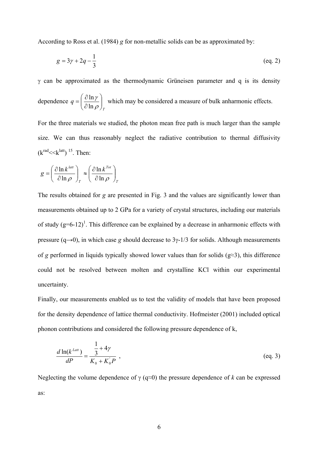According to Ross et al. (1984) *g* for non-metallic solids can be as approximated by:

$$
g = 3\gamma + 2q - \frac{1}{3}
$$
 (eq. 2)

γ can be approximated as the thermodynamic Grüneisen parameter and q is its density dependence *T*  $q = \frac{\text{cm}}{\text{a} \ln a}$  $\left(\frac{\partial \ln \gamma}{\partial \ln \rho}\right)$ ⎝  $\sqrt{}$ ∂  $=\left(\frac{\partial}{\partial x}\right)^2$ ρ γ ln  $\left(\frac{\ln \gamma}{\epsilon}\right)$  which may be considered a measure of bulk anharmonic effects.

For the three materials we studied, the photon mean free path is much larger than the sample size. We can thus reasonably neglect the radiative contribution to thermal diffusivity  $(k^{rad}< <sup>15</sup>. Then:$ 

$$
g = \left(\frac{\partial \ln k^{latt}}{\partial \ln \rho}\right)_T \approx \left(\frac{\partial \ln k^{Tot}}{\partial \ln \rho}\right)_T
$$

The results obtained for *g* are presented in Fig. 3 and the values are significantly lower than measurements obtained up to 2 GPa for a variety of crystal structures, including our materials of study  $(g=6-12)^1$ . This difference can be explained by a decrease in anharmonic effects with pressure (q→0), in which case *g* should decrease to 3γ-1/3 for solids. Although measurements of *g* performed in liquids typically showed lower values than for solids (g≈3), this difference could not be resolved between molten and crystalline KCl within our experimental uncertainty.

Finally, our measurements enabled us to test the validity of models that have been proposed for the density dependence of lattice thermal conductivity. Hofmeister (2001) included optical phonon contributions and considered the following pressure dependence of k,

$$
\frac{d \ln(k^{Lat})}{dP} = \frac{\frac{1}{3} + 4\gamma}{K_0 + K_0'P} \tag{eq. 3}
$$

Neglecting the volume dependence of γ (q≈0) the pressure dependence of *k* can be expressed as: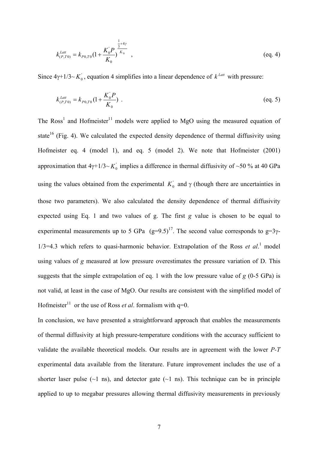$$
k_{(P,T0)}^{Latt} = k_{P0,T0} \left( 1 + \frac{K_0 P}{K_0} \right)^{\frac{1}{3} + 4\gamma}, \tag{eq. 4}
$$

Since  $4\gamma + 1/3 \sim K_0$ , equation 4 simplifies into a linear dependence of  $k^{L}$  with pressure:

$$
k_{(P,T0)}^{Latt} = k_{P0,T0} \left( 1 + \frac{K_0^{\dagger} P}{K_0} \right) \tag{eq.5}
$$

The Ross<sup>1</sup> and Hofmeister<sup>11</sup> models were applied to MgO using the measured equation of state<sup>16</sup> (Fig. 4). We calculated the expected density dependence of thermal diffusivity using Hofmeister eq. 4 (model 1), and eq. 5 (model 2). We note that Hofmeister (2001) approximation that  $4\gamma + 1/3 \sim K_0$  implies a difference in thermal diffusivity of ~50 % at 40 GPa using the values obtained from the experimental  $K_0$  and  $\gamma$  (though there are uncertainties in those two parameters). We also calculated the density dependence of thermal diffusivity expected using Eq. 1 and two values of g. The first *g* value is chosen to be equal to experimental measurements up to 5 GPa  $(g=9.5)^{17}$ . The second value corresponds to  $g=3y 1/3=4.3$  which refers to quasi-harmonic behavior. Extrapolation of the Ross *et al.*<sup>1</sup> model using values of *g* measured at low pressure overestimates the pressure variation of D. This suggests that the simple extrapolation of eq. 1 with the low pressure value of *g* (0-5 GPa) is not valid, at least in the case of MgO. Our results are consistent with the simplified model of Hofmeister<sup>11</sup> or the use of Ross *et al.* formalism with  $q=0$ .

In conclusion, we have presented a straightforward approach that enables the measurements of thermal diffusivity at high pressure-temperature conditions with the accuracy sufficient to validate the available theoretical models. Our results are in agreement with the lower *P-T* experimental data available from the literature. Future improvement includes the use of a shorter laser pulse  $(-1 \text{ ns})$ , and detector gate  $(-1 \text{ ns})$ . This technique can be in principle applied to up to megabar pressures allowing thermal diffusivity measurements in previously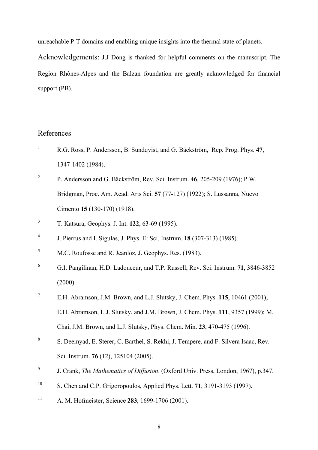unreachable P-T domains and enabling unique insights into the thermal state of planets.

Acknowledgements: J.J Dong is thanked for helpful comments on the manuscript. The Region Rhônes-Alpes and the Balzan foundation are greatly acknowledged for financial support (PB).

### References

- 1 R.G. Ross, P. Andersson, B. Sundqvist, and G. Bäckström, Rep. Prog. Phys. **47**, 1347-1402 (1984).
- 2 P. Andersson and G. Bäckström, Rev. Sci. Instrum. **46**, 205-209 (1976); P.W. Bridgman, Proc. Am. Acad. Arts Sci. **57** (77-127) (1922); S. Lussanna, Nuevo Cimento **15** (130-170) (1918).
- 3 T. Katsura, Geophys. J. Int. **122**, 63-69 (1995).
- 4 J. Pierrus and I. Sigulas, J. Phys. E: Sci. Instrum. **18** (307-313) (1985).
- 5 M.C. Roufosse and R. Jeanloz, J. Geophys. Res. (1983).
- 6 G.I. Pangilinan, H.D. Ladouceur, and T.P. Russell, Rev. Sci. Instrum. **71**, 3846-3852 (2000).
- 7 E.H. Abramson, J.M. Brown, and L.J. Slutsky, J. Chem. Phys. **115**, 10461 (2001); E.H. Abramson, L.J. Slutsky, and J.M. Brown, J. Chem. Phys. **111**, 9357 (1999); M. Chai, J.M. Brown, and L.J. Slutsky, Phys. Chem. Min. **23**, 470-475 (1996).
- 8 S. Deemyad, E. Sterer, C. Barthel, S. Rekhi, J. Tempere, and F. Silvera Isaac, Rev. Sci. Instrum. **76** (12), 125104 (2005).
- 9 J. Crank, *The Mathematics of Diffusion*. (Oxford Univ. Press, London, 1967), p.347.
- 10 S. Chen and C.P. Grigoropoulos, Applied Phys. Lett. **71**, 3191-3193 (1997).
- 11 A. M. Hofmeister, Science **283**, 1699-1706 (2001).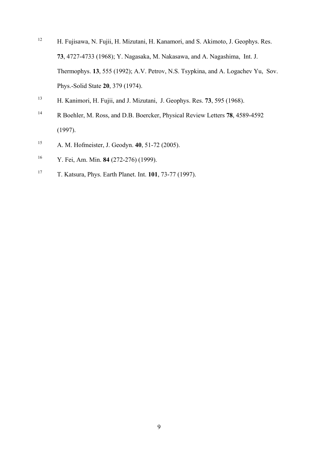- <sup>12</sup> H. Fujisawa, N. Fujii, H. Mizutani, H. Kanamori, and S. Akimoto, J. Geophys. Res. **73**, 4727-4733 (1968); Y. Nagasaka, M. Nakasawa, and A. Nagashima, Int. J. Thermophys. **13**, 555 (1992); A.V. Petrov, N.S. Tsypkina, and A. Logachev Yu, Sov. Phys.-Solid State **20**, 379 (1974).
- 13 H. Kanimori, H. Fujii, and J. Mizutani, J. Geophys. Res. **73**, 595 (1968).
- 14 R Boehler, M. Ross, and D.B. Boercker, Physical Review Letters **78**, 4589-4592 (1997).
- 15 A. M. Hofmeister, J. Geodyn. **40**, 51-72 (2005).
- 16 Y. Fei, Am. Min. **84** (272-276) (1999).
- 17 T. Katsura, Phys. Earth Planet. Int. **101**, 73-77 (1997).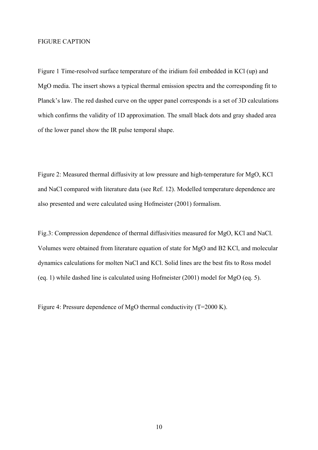#### FIGURE CAPTION

Figure 1 Time-resolved surface temperature of the iridium foil embedded in KCl (up) and MgO media. The insert shows a typical thermal emission spectra and the corresponding fit to Planck's law. The red dashed curve on the upper panel corresponds is a set of 3D calculations which confirms the validity of 1D approximation. The small black dots and gray shaded area of the lower panel show the IR pulse temporal shape.

Figure 2: Measured thermal diffusivity at low pressure and high-temperature for MgO, KCl and NaCl compared with literature data (see Ref. 12). Modelled temperature dependence are also presented and were calculated using Hofmeister (2001) formalism.

Fig.3: Compression dependence of thermal diffusivities measured for MgO, KCl and NaCl. Volumes were obtained from literature equation of state for MgO and B2 KCl, and molecular dynamics calculations for molten NaCl and KCl. Solid lines are the best fits to Ross model (eq. 1) while dashed line is calculated using Hofmeister (2001) model for MgO (eq. 5).

Figure 4: Pressure dependence of MgO thermal conductivity (T=2000 K).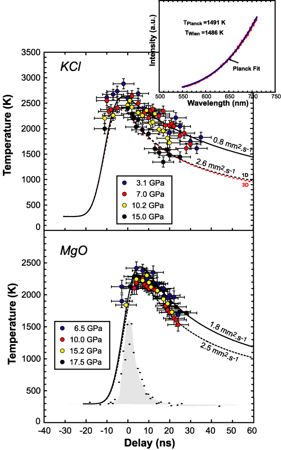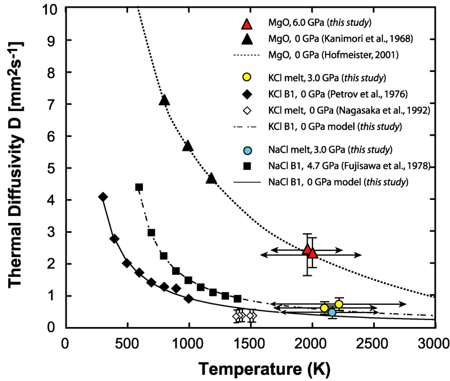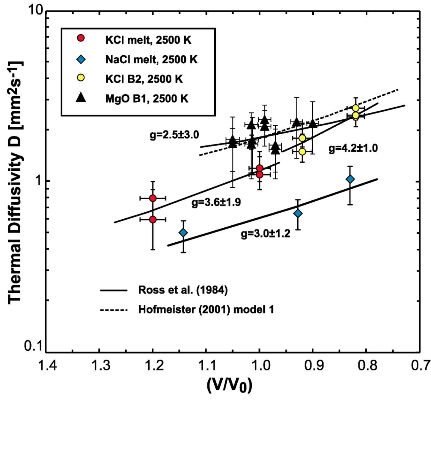